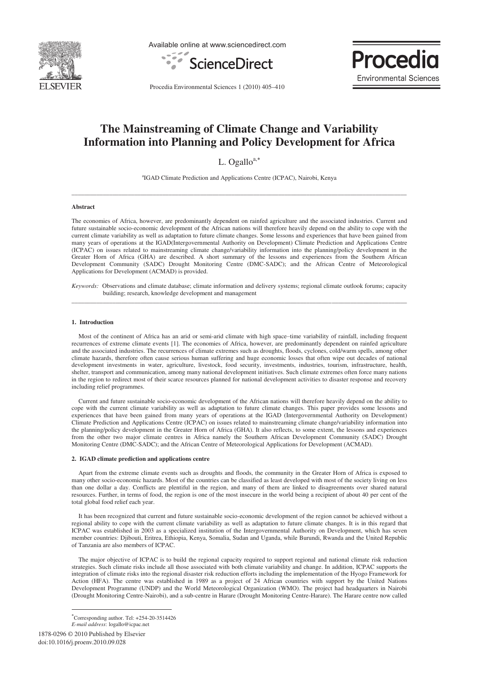

Available online at www.sciencedirect.com





Procedia Environmental Sciences 1 (2010) 405–410

# **The Mainstreaming of Climate Change and Variability Information into Planning and Policy Development for Africa**

L. Ogallo $a$ ,\*

a IGAD Climate Prediction and Applications Centre (ICPAC), Nairobi, Kenya **\_\_\_\_\_\_\_\_\_\_\_\_\_\_\_\_\_\_\_\_\_\_\_\_\_\_\_\_\_\_\_\_\_\_\_\_\_\_\_\_\_\_\_\_\_\_\_\_\_\_\_\_\_\_\_\_\_\_\_\_\_\_\_\_\_\_\_\_\_\_\_\_\_\_\_\_\_\_\_\_\_\_\_\_\_\_\_\_\_\_\_\_\_\_\_\_\_\_\_\_\_\_\_\_\_\_\_** 

## **Abstract**

The economies of Africa, however, are predominantly dependent on rainfed agriculture and the associated industries. Current and future sustainable socio-economic development of the African nations will therefore heavily depend on the ability to cope with the current climate variability as well as adaptation to future climate changes. Some lessons and experiences that have been gained from many years of operations at the IGAD(Intergovernmental Authority on Development) Climate Prediction and Applications Centre (ICPAC) on issues related to mainstreaming climate change/variability information into the planning/policy development in the Greater Horn of Africa (GHA) are described. A short summary of the lessons and experiences from the Southern African Development Community (SADC) Drought Monitoring Centre (DMC-SADC); and the African Centre of Meteorological Applications for Development (ACMAD) is provided.

*Keywords:* Observations and climate database; climate information and delivery systems; regional climate outlook forums; capacity building; research, knowledge development and management \_\_\_\_\_\_\_\_\_\_\_\_\_\_\_\_\_\_\_\_\_\_\_\_\_\_\_\_\_\_\_\_\_\_\_\_\_\_\_\_\_\_\_\_\_\_\_\_\_\_\_\_\_\_\_\_\_\_\_\_\_\_\_\_\_\_\_\_\_\_\_\_\_\_\_\_\_\_\_\_\_\_\_\_\_\_\_\_\_\_\_\_\_\_\_\_\_\_\_\_\_\_\_\_\_\_\_

### **1. Introduction**

Most of the continent of Africa has an arid or semi-arid climate with high space–time variability of rainfall, including frequent recurrences of extreme climate events [1]. The economies of Africa, however, are predominantly dependent on rainfed agriculture and the associated industries. The recurrences of climate extremes such as droughts, floods, cyclones, cold/warm spells, among other climate hazards, therefore often cause serious human suffering and huge economic losses that often wipe out decades of national development investments in water, agriculture, livestock, food security, investments, industries, tourism, infrastructure, health, shelter, transport and communication, among many national development initiatives. Such climate extremes often force many nations in the region to redirect most of their scarce resources planned for national development activities to disaster response and recovery including relief programmes.

Current and future sustainable socio-economic development of the African nations will therefore heavily depend on the ability to cope with the current climate variability as well as adaptation to future climate changes. This paper provides some lessons and experiences that have been gained from many years of operations at the IGAD (Intergovernmental Authority on Development) Climate Prediction and Applications Centre (ICPAC) on issues related to mainstreaming climate change/variability information into the planning/policy development in the Greater Horn of Africa (GHA). It also reflects, to some extent, the lessons and experiences from the other two major climate centres in Africa namely the Southern African Development Community (SADC) Drought Monitoring Centre (DMC-SADC); and the African Centre of Meteorological Applications for Development (ACMAD).

#### **2. IGAD climate prediction and applications centre**

Apart from the extreme climate events such as droughts and floods, the community in the Greater Horn of Africa is exposed to many other socio-economic hazards. Most of the countries can be classified as least developed with most of the society living on less than one dollar a day. Conflicts are plentiful in the region, and many of them are linked to disagreements over shared natural resources. Further, in terms of food, the region is one of the most insecure in the world being a recipient of about 40 per cent of the total global food relief each year.

It has been recognized that current and future sustainable socio-economic development of the region cannot be achieved without a regional ability to cope with the current climate variability as well as adaptation to future climate changes. It is in this regard that ICPAC was established in 2003 as a specialized institution of the Intergovernmental Authority on Development, which has seven member countries: Djibouti, Eritrea, Ethiopia, Kenya, Somalia, Sudan and Uganda, while Burundi, Rwanda and the United Republic of Tanzania are also members of ICPAC.

The major objective of ICPAC is to build the regional capacity required to support regional and national climate risk reduction strategies. Such climate risks include all those associated with both climate variability and change. In addition, ICPAC supports the integration of climate risks into the regional disaster risk reduction efforts including the implementation of the Hyogo Framework for Action (HFA). The centre was established in 1989 as a project of 24 African countries with support by the United Nations Development Programme (UNDP) and the World Meteorological Organization (WMO). The project had headquarters in Nairobi (Drought Monitoring Centre-Nairobi), and a sub-centre in Harare (Drought Monitoring Centre-Harare). The Harare centre now called

1878-0296 © 2010 Published by Elsevier doi:10.1016/j.proenv.2010.09.028

-

 Corresponding author. Tel: +254-20-3514426 *E-mail address*: logallo@icpac.net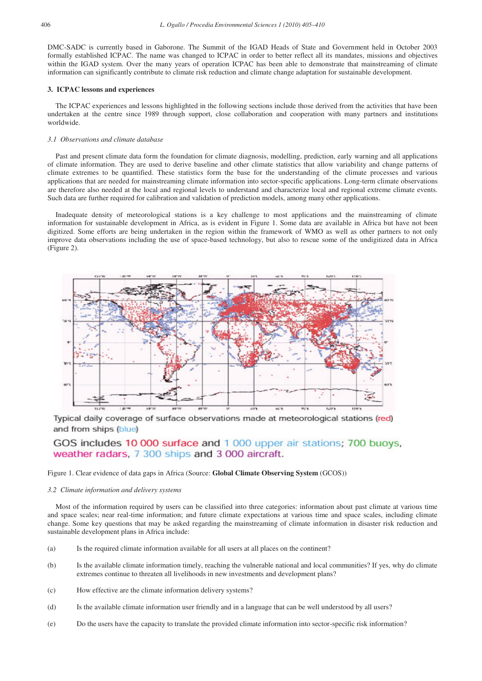DMC-SADC is currently based in Gaborone. The Summit of the IGAD Heads of State and Government held in October 2003 formally established ICPAC. The name was changed to ICPAC in order to better reflect all its mandates, missions and objectives within the IGAD system. Over the many years of operation ICPAC has been able to demonstrate that mainstreaming of climate information can significantly contribute to climate risk reduction and climate change adaptation for sustainable development.

## **3. ICPAC lessons and experiences**

The ICPAC experiences and lessons highlighted in the following sections include those derived from the activities that have been undertaken at the centre since 1989 through support, close collaboration and cooperation with many partners and institutions worldwide.

## *3.1 Observations and climate database*

Past and present climate data form the foundation for climate diagnosis, modelling, prediction, early warning and all applications of climate information. They are used to derive baseline and other climate statistics that allow variability and change patterns of climate extremes to be quantified. These statistics form the base for the understanding of the climate processes and various applications that are needed for mainstreaming climate information into sector-specific applications. Long-term climate observations are therefore also needed at the local and regional levels to understand and characterize local and regional extreme climate events. Such data are further required for calibration and validation of prediction models, among many other applications.

Inadequate density of meteorological stations is a key challenge to most applications and the mainstreaming of climate information for sustainable development in Africa, as is evident in Figure 1. Some data are available in Africa but have not been digitized. Some efforts are being undertaken in the region within the framework of WMO as well as other partners to not only improve data observations including the use of space-based technology, but also to rescue some of the undigitized data in Africa (Figure 2).



Typical daily coverage of surface observations made at meteorological stations (red) and from ships (blue)

## GOS includes 10 000 surface and 1 000 upper air stations; 700 buoys, weather radars, 7 300 ships and 3 000 aircraft.

## Figure 1. Clear evidence of data gaps in Africa (Source: **Global Climate Observing System** (GCOS))

## *3.2 Climate information and delivery systems*

Most of the information required by users can be classified into three categories: information about past climate at various time and space scales; near real-time information; and future climate expectations at various time and space scales, including climate change. Some key questions that may be asked regarding the mainstreaming of climate information in disaster risk reduction and sustainable development plans in Africa include:

- (a) Is the required climate information available for all users at all places on the continent?
- (b) Is the available climate information timely, reaching the vulnerable national and local communities? If yes, why do climate extremes continue to threaten all livelihoods in new investments and development plans?
- (c) How effective are the climate information delivery systems?
- (d) Is the available climate information user friendly and in a language that can be well understood by all users?
- (e) Do the users have the capacity to translate the provided climate information into sector-specific risk information?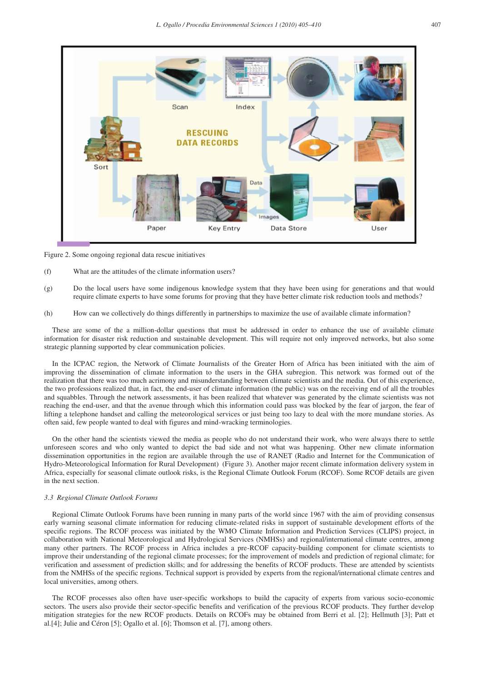

Figure 2. Some ongoing regional data rescue initiatives

- (f) What are the attitudes of the climate information users?
- (g) Do the local users have some indigenous knowledge system that they have been using for generations and that would require climate experts to have some forums for proving that they have better climate risk reduction tools and methods?
- (h) How can we collectively do things differently in partnerships to maximize the use of available climate information?

These are some of the a million-dollar questions that must be addressed in order to enhance the use of available climate information for disaster risk reduction and sustainable development. This will require not only improved networks, but also some strategic planning supported by clear communication policies.

In the ICPAC region, the Network of Climate Journalists of the Greater Horn of Africa has been initiated with the aim of improving the dissemination of climate information to the users in the GHA subregion. This network was formed out of the realization that there was too much acrimony and misunderstanding between climate scientists and the media. Out of this experience, the two professions realized that, in fact, the end-user of climate information (the public) was on the receiving end of all the troubles and squabbles. Through the network assessments, it has been realized that whatever was generated by the climate scientists was not reaching the end-user, and that the avenue through which this information could pass was blocked by the fear of jargon, the fear of lifting a telephone handset and calling the meteorological services or just being too lazy to deal with the more mundane stories. As often said, few people wanted to deal with figures and mind-wracking terminologies.

On the other hand the scientists viewed the media as people who do not understand their work, who were always there to settle unforeseen scores and who only wanted to depict the bad side and not what was happening. Other new climate information dissemination opportunities in the region are available through the use of RANET (Radio and Internet for the Communication of Hydro-Meteorological Information for Rural Development) (Figure 3). Another major recent climate information delivery system in Africa, especially for seasonal climate outlook risks, is the Regional Climate Outlook Forum (RCOF). Some RCOF details are given in the next section.

#### *3.3 Regional Climate Outlook Forums*

Regional Climate Outlook Forums have been running in many parts of the world since 1967 with the aim of providing consensus early warning seasonal climate information for reducing climate-related risks in support of sustainable development efforts of the specific regions. The RCOF process was initiated by the WMO Climate Information and Prediction Services (CLIPS) project, in collaboration with National Meteorological and Hydrological Services (NMHSs) and regional/international climate centres, among many other partners. The RCOF process in Africa includes a pre-RCOF capacity-building component for climate scientists to improve their understanding of the regional climate processes; for the improvement of models and prediction of regional climate; for verification and assessment of prediction skills; and for addressing the benefits of RCOF products. These are attended by scientists from the NMHSs of the specific regions. Technical support is provided by experts from the regional/international climate centres and local universities, among others.

The RCOF processes also often have user-specific workshops to build the capacity of experts from various socio-economic sectors. The users also provide their sector-specific benefits and verification of the previous RCOF products. They further develop mitigation strategies for the new RCOF products. Details on RCOFs may be obtained from Berri et al. [2]; Hellmuth [3]; Patt et al.[4]; Julie and Céron [5]; Ogallo et al. [6]; Thomson et al. [7], among others.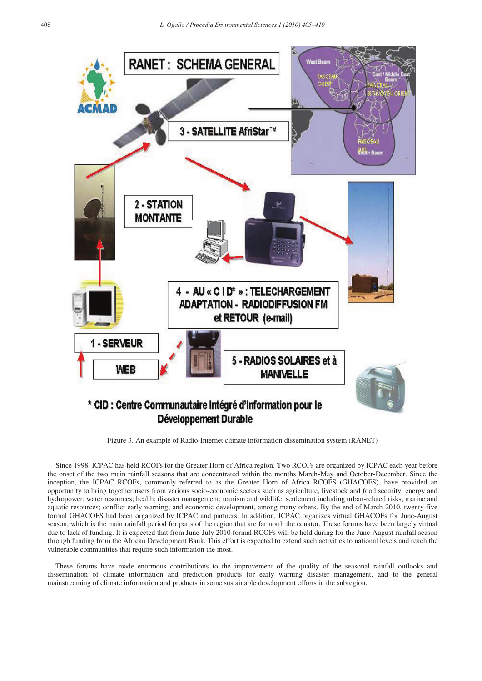

Figure 3. An example of Radio-Internet climate information dissemination system (RANET)

Since 1998, ICPAC has held RCOFs for the Greater Horn of Africa region. Two RCOFs are organized by ICPAC each year before the onset of the two main rainfall seasons that are concentrated within the months March-May and October-December. Since the inception, the ICPAC RCOFs, commonly referred to as the Greater Horn of Africa RCOFS (GHACOFS), have provided an opportunity to bring together users from various socio-economic sectors such as agriculture, livestock and food security; energy and hydropower; water resources; health; disaster management; tourism and wildlife; settlement including urban-related risks; marine and aquatic resources; conflict early warning; and economic development, among many others. By the end of March 2010, twenty-five formal GHACOFS had been organized by ICPAC and partners. In addition, ICPAC organizes virtual GHACOFs for June-August season, which is the main rainfall period for parts of the region that are far north the equator. These forums have been largely virtual due to lack of funding. It is expected that from June-July 2010 formal RCOFs will be held during for the June-August rainfall season through funding from the African Development Bank. This effort is expected to extend such activities to national levels and reach the vulnerable communities that require such information the most.

These forums have made enormous contributions to the improvement of the quality of the seasonal rainfall outlooks and dissemination of climate information and prediction products for early warning disaster management, and to the general mainstreaming of climate information and products in some sustainable development efforts in the subregion.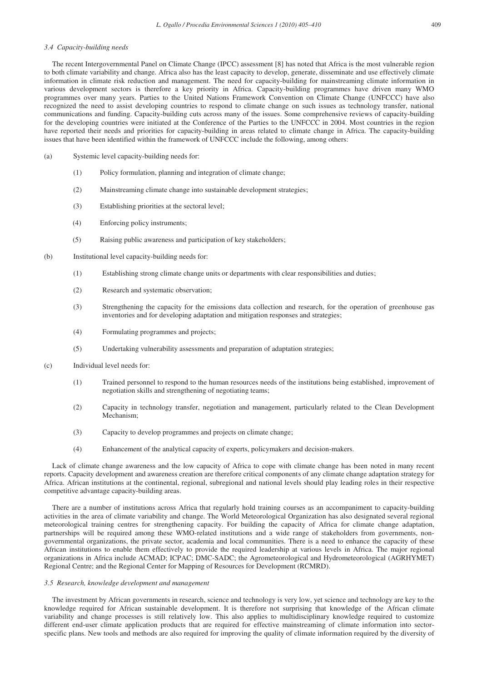## *3.4 Capacity-building needs*

The recent Intergovernmental Panel on Climate Change (IPCC) assessment [8] has noted that Africa is the most vulnerable region to both climate variability and change. Africa also has the least capacity to develop, generate, disseminate and use effectively climate information in climate risk reduction and management. The need for capacity-building for mainstreaming climate information in various development sectors is therefore a key priority in Africa. Capacity-building programmes have driven many WMO programmes over many years. Parties to the United Nations Framework Convention on Climate Change (UNFCCC) have also recognized the need to assist developing countries to respond to climate change on such issues as technology transfer, national communications and funding. Capacity-building cuts across many of the issues. Some comprehensive reviews of capacity-building for the developing countries were initiated at the Conference of the Parties to the UNFCCC in 2004. Most countries in the region have reported their needs and priorities for capacity-building in areas related to climate change in Africa. The capacity-building issues that have been identified within the framework of UNFCCC include the following, among others:

- (a) Systemic level capacity-building needs for:
	- (1) Policy formulation, planning and integration of climate change;
	- (2) Mainstreaming climate change into sustainable development strategies;
	- (3) Establishing priorities at the sectoral level;
	- (4) Enforcing policy instruments;
	- (5) Raising public awareness and participation of key stakeholders;
- (b) Institutional level capacity-building needs for:
	- (1) Establishing strong climate change units or departments with clear responsibilities and duties;
	- (2) Research and systematic observation;
	- (3) Strengthening the capacity for the emissions data collection and research, for the operation of greenhouse gas inventories and for developing adaptation and mitigation responses and strategies;
	- (4) Formulating programmes and projects;
	- (5) Undertaking vulnerability assessments and preparation of adaptation strategies;
- (c) Individual level needs for:
	- (1) Trained personnel to respond to the human resources needs of the institutions being established, improvement of negotiation skills and strengthening of negotiating teams;
	- (2) Capacity in technology transfer, negotiation and management, particularly related to the Clean Development Mechanism;
	- (3) Capacity to develop programmes and projects on climate change;
	- (4) Enhancement of the analytical capacity of experts, policymakers and decision-makers.

Lack of climate change awareness and the low capacity of Africa to cope with climate change has been noted in many recent reports. Capacity development and awareness creation are therefore critical components of any climate change adaptation strategy for Africa. African institutions at the continental, regional, subregional and national levels should play leading roles in their respective competitive advantage capacity-building areas.

There are a number of institutions across Africa that regularly hold training courses as an accompaniment to capacity-building activities in the area of climate variability and change. The World Meteorological Organization has also designated several regional meteorological training centres for strengthening capacity. For building the capacity of Africa for climate change adaptation, partnerships will be required among these WMO-related institutions and a wide range of stakeholders from governments, nongovernmental organizations, the private sector, academia and local communities. There is a need to enhance the capacity of these African institutions to enable them effectively to provide the required leadership at various levels in Africa. The major regional organizations in Africa include ACMAD; ICPAC; DMC-SADC; the Agrometeorological and Hydrometeorological (AGRHYMET) Regional Centre; and the Regional Center for Mapping of Resources for Development (RCMRD).

#### *3.5 Research, knowledge development and management*

The investment by African governments in research, science and technology is very low, yet science and technology are key to the knowledge required for African sustainable development. It is therefore not surprising that knowledge of the African climate variability and change processes is still relatively low. This also applies to multidisciplinary knowledge required to customize different end-user climate application products that are required for effective mainstreaming of climate information into sectorspecific plans. New tools and methods are also required for improving the quality of climate information required by the diversity of